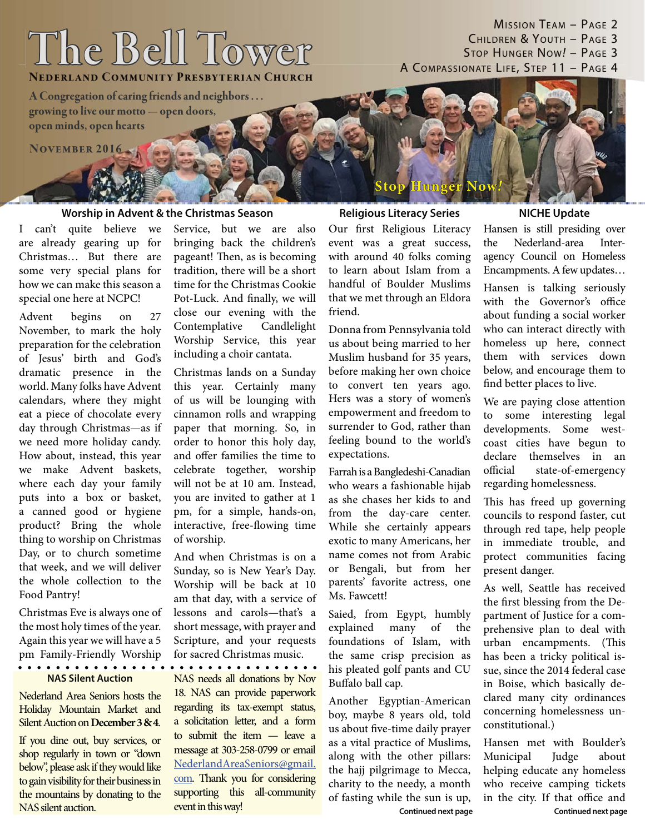# **The Bell Tower he**

**NEDERLAND COMMUNITY PRESBYTERIAN CHURCH** 

**A Congregation of caring friends and neighbors . . . Congregation ofcaring friendsand neighbors . . . growing to live our motto — open doors, rowing to live our motto — open**  $open$  **minds, open hearts** 

**NOVEMBER 2016** 

## **Worship in Advent & the Christmas Season Religious Literacy Series**

I can't quite believe we are already gearing up for Christmas… But there are some very special plans for how we can make this season a special one here at NCPC!

Advent begins on 27 November, to mark the holy preparation for the celebration of Jesus' birth and God's dramatic presence in the world. Many folks have Advent calendars, where they might eat a piece of chocolate every day through Christmas—as if we need more holiday candy. How about, instead, this year we make Advent baskets, where each day your family puts into a box or basket, a canned good or hygiene product? Bring the whole thing to worship on Christmas Day, or to church sometime that week, and we will deliver the whole collection to the Food Pantry!

Christmas Eve is always one of the most holy times of the year. Again this year we will have a 5 pm Family-Friendly Worship . . . . . . . . . . . . . . . .

### **NAS Silent Auction**

Nederland Area Seniors hosts the Holiday Mountain Market and Silent Auction on **December 3 & 4**.

If you dine out, buy services, or shop regularly in town or "down below", please ask if they would like to gain visibility for their business in the mountains by donating to the NAS silent auction.

Service, but we are also bringing back the children's pageant! Then, as is becoming tradition, there will be a short time for the Christmas Cookie Pot-Luck. And finally, we will close our evening with the Contemplative Candlelight Worship Service, this year including a choir cantata.

Christmas lands on a Sunday this year. Certainly many of us will be lounging with cinnamon rolls and wrapping paper that morning. So, in order to honor this holy day, and offer families the time to celebrate together, worship will not be at 10 am. Instead, you are invited to gather at 1 pm, for a simple, hands-on, interactive, free-flowing time of worship.

And when Christmas is on a Sunday, so is New Year's Day. Worship will be back at 10 am that day, with a service of lessons and carols—that's a short message, with prayer and Scripture, and your requests for sacred Christmas music.

NAS needs all donations by Nov 18. NAS can provide paperwork regarding its tax-exempt status, a solicitation letter, and a form to submit the item — leave a message at 303-258-0799 or email NederlandAreaSeniors@gmail. com. Thank you for considering supporting this all-community event in this way!

Our first Religious Literacy event was a great success, with around 40 folks coming to learn about Islam from a handful of Boulder Muslims that we met through an Eldora friend.

Donna from Pennsylvania told us about being married to her Muslim husband for 35 years, before making her own choice to convert ten years ago. Hers was a story of women's empowerment and freedom to surrender to God, rather than feeling bound to the world's expectations.

Farrah is a Bangledeshi-Canadian who wears a fashionable hijab as she chases her kids to and from the day-care center. While she certainly appears exotic to many Americans, her name comes not from Arabic or Bengali, but from her parents' favorite actress, one Ms. Fawcett!

Saied, from Egypt, humbly explained many of the foundations of Islam, with the same crisp precision as his pleated golf pants and CU Buffalo ball cap.

Another Egyptian-American boy, maybe 8 years old, told us about five-time daily prayer as a vital practice of Muslims, along with the other pillars: the hajj pilgrimage to Mecca, charity to the needy, a month of fasting while the sun is up, **Continued next page**

## **NICHE Update**

MISSION TEAM – PAGE 2 CHILDREN & YOUTH – PAGE 3 STOP HUNGER NOW*!* – PAGE 3

A COMPASSIONATE LIFE, STEP 11 - PAGE 4

Hansen is still presiding over the Nederland-area Interagency Council on Homeless Encampments. A few updates…

Hansen is talking seriously with the Governor's office about funding a social worker who can interact directly with homeless up here, connect them with services down below, and encourage them to find better places to live.

We are paying close attention to some interesting legal developments. Some westcoast cities have begun to declare themselves in an official state-of-emergency regarding homelessness.

This has freed up governing councils to respond faster, cut through red tape, help people in immediate trouble, and protect communities facing present danger.

As well, Seattle has received the first blessing from the Department of Justice for a comprehensive plan to deal with urban encampments. (This has been a tricky political issue, since the 2014 federal case in Boise, which basically declared many city ordinances concerning homelessness unconstitutional.)

Hansen met with Boulder's Municipal Judge about helping educate any homeless who receive camping tickets in the city. If that office and **Continued next page**

**Stop Hunger Now top** *!*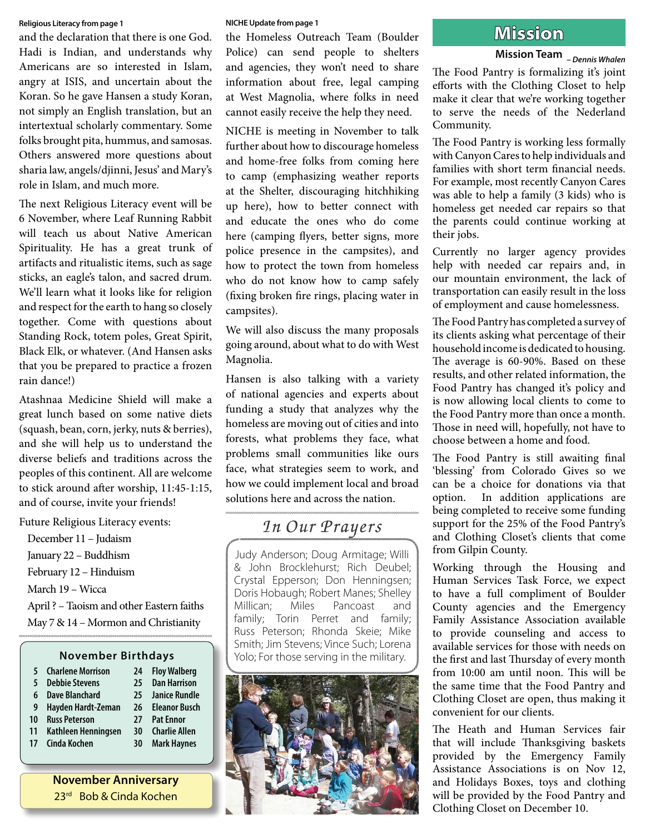and the declaration that there is one God. Hadi is Indian, and understands why Americans are so interested in Islam, angry at ISIS, and uncertain about the Koran. So he gave Hansen a study Koran, not simply an English translation, but an intertextual scholarly commentary. Some folks brought pita, hummus, and samosas. Others answered more questions about sharia law, angels/djinni, Jesus' and Mary's role in Islam, and much more.

The next Religious Literacy event will be 6 November, where Leaf Running Rabbit will teach us about Native American Spirituality. He has a great trunk of artifacts and ritualistic items, such as sage sticks, an eagle's talon, and sacred drum. We'll learn what it looks like for religion and respect for the earth to hang so closely together. Come with questions about Standing Rock, totem poles, Great Spirit, Black Elk, or whatever. (And Hansen asks that you be prepared to practice a frozen rain dance!)

Atashnaa Medicine Shield will make a great lunch based on some native diets (squash, bean, corn, jerky, nuts & berries), and she will help us to understand the diverse beliefs and traditions across the peoples of this continent. All are welcome to stick around after worship, 11:45-1:15, and of course, invite your friends!

Future Religious Literacy events:

December 11 – Judaism January 22 – Buddhism February 12 – Hinduism March 19 – Wicca April ? – Taoism and other Eastern faiths May 7 & 14 – Mormon and Christianity

## **November Birthdays**

| <b>Charlene Morrison</b> | 24 | <b>Floy Walberg</b>  |
|--------------------------|----|----------------------|
| <b>Debbie Stevens</b>    | 25 | <b>Dan Harrison</b>  |
| <b>Dave Blanchard</b>    | 25 | <b>Janice Rundle</b> |
| Hayden Hardt-Zeman       | 26 | <b>Eleanor Busch</b> |
| <b>Russ Peterson</b>     | 27 | <b>Pat Ennor</b>     |
| Kathleen Henningsen      | 30 | <b>Charlie Allen</b> |
| Cinda Kochen             | 30 | <b>Mark Haynes</b>   |
|                          |    |                      |

**November Anniversary** 23rd Bob & Cinda Kochen

### **NICHE Update from page 1**

Religious Literacy from page 1<br>and the declaration that there is one God. the Homeless Outreach Team (Boulder **MISSION** Police) can send people to shelters and agencies, they won't need to share information about free, legal camping at West Magnolia, where folks in need cannot easily receive the help they need.

> NICHE is meeting in November to talk further about how to discourage homeless and home-free folks from coming here to camp (emphasizing weather reports at the Shelter, discouraging hitchhiking up here), how to better connect with and educate the ones who do come here (camping flyers, better signs, more police presence in the campsites), and how to protect the town from homeless who do not know how to camp safely (fixing broken fire rings, placing water in campsites).

> We will also discuss the many proposals going around, about what to do with West Magnolia.

> Hansen is also talking with a variety of national agencies and experts about funding a study that analyzes why the homeless are moving out of cities and into forests, what problems they face, what problems small communities like ours face, what strategies seem to work, and how we could implement local and broad solutions here and across the nation.

## In Our Prayers

Judy Anderson; Doug Armitage; Willi & John Brocklehurst; Rich Deubel; Crystal Epperson; Don Henningsen; Doris Hobaugh; Robert Manes; Shelley Millican; Miles Pancoast and family; Torin Perret and family; Russ Peterson; Rhonda Skeie; Mike Smith; Jim Stevens; Vince Such; Lorena Yolo; For those serving in the military.



## **Mission Team** *– Dennis Whalen*

The Food Pantry is formalizing it's joint efforts with the Clothing Closet to help make it clear that we're working together to serve the needs of the Nederland Community.

The Food Pantry is working less formally with Canyon Cares to help individuals and families with short term financial needs. For example, most recently Canyon Cares was able to help a family (3 kids) who is homeless get needed car repairs so that the parents could continue working at their jobs.

Currently no larger agency provides help with needed car repairs and, in our mountain environment, the lack of transportation can easily result in the loss of employment and cause homelessness.

The Food Pantry has completed a survey of its clients asking what percentage of their household income is dedicated to housing. The average is 60-90%. Based on these results, and other related information, the Food Pantry has changed it's policy and is now allowing local clients to come to the Food Pantry more than once a month. Those in need will, hopefully, not have to choose between a home and food.

The Food Pantry is still awaiting final 'blessing' from Colorado Gives so we can be a choice for donations via that option. In addition applications are being completed to receive some funding support for the 25% of the Food Pantry's and Clothing Closet's clients that come from Gilpin County.

Working through the Housing and Human Services Task Force, we expect to have a full compliment of Boulder County agencies and the Emergency Family Assistance Association available to provide counseling and access to available services for those with needs on the first and last Thursday of every month from 10:00 am until noon. This will be the same time that the Food Pantry and Clothing Closet are open, thus making it convenient for our clients.

The Heath and Human Services fair that will include Thanksgiving baskets provided by the Emergency Family Assistance Associations is on Nov 12, and Holidays Boxes, toys and clothing will be provided by the Food Pantry and Clothing Closet on December 10.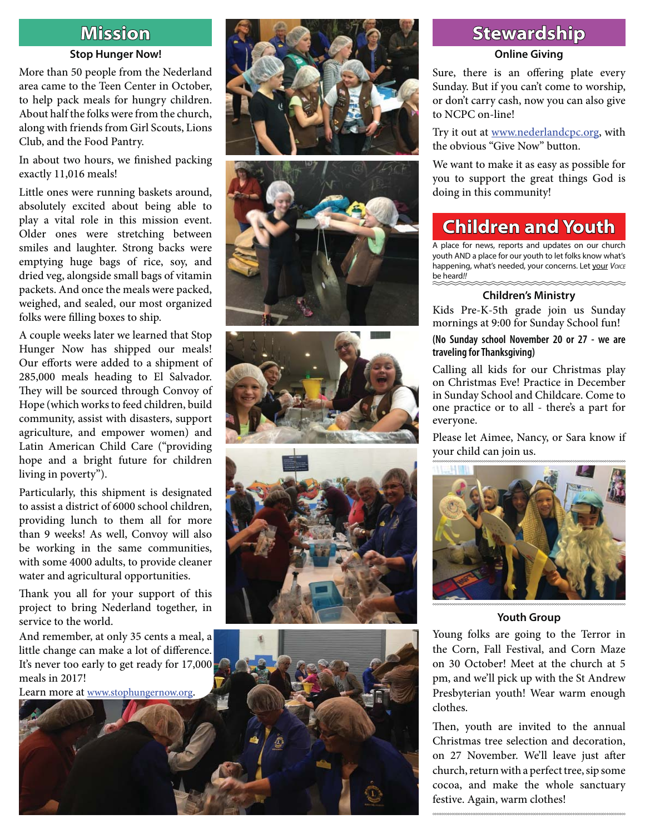## **Mission**

## **Stop Hunger Now!**

More than 50 people from the Nederland area came to the Teen Center in October, to help pack meals for hungry children. About half the folks were from the church, along with friends from Girl Scouts, Lions Club, and the Food Pantry.

In about two hours, we finished packing exactly 11,016 meals!

Little ones were running baskets around, absolutely excited about being able to play a vital role in this mission event. Older ones were stretching between smiles and laughter. Strong backs were emptying huge bags of rice, soy, and dried veg, alongside small bags of vitamin packets. And once the meals were packed, weighed, and sealed, our most organized folks were filling boxes to ship.

A couple weeks later we learned that Stop Hunger Now has shipped our meals! Our efforts were added to a shipment of 285,000 meals heading to El Salvador.<br>They will be sourced through Convoy of Hope (which works to feed children, build community, assist with disasters, support agriculture, and empower women) and Latin American Child Care ("providing hope and a bright future for children living in poverty").

Particularly, this shipment is designated to assist a district of 6000 school children, providing lunch to them all for more than 9 weeks! As well, Convoy will also be working in the same communities, with some 4000 adults, to provide cleaner

water and agricultural opportunities.<br>Thank you all for your support of this project to bring Nederland together, in service to the world.

And remember, at only 35 cents a meal, a little change can make a lot of difference. It's never too early to get ready for 17,000 meals in 2017!











## **Stewardship tewardship**

## **Online Giving**

Sure, there is an offering plate every Sunday. But if you can't come to worship, or don't carry cash, now you can also give to NCPC on-line!

Try it out at www.nederlandcpc.org, with the obvious "Give Now" button.

We want to make it as easy as possible for you to support the great things God is doing in this community!

## **Children and Youth hildren**

A place for news, reports and updates on our church youth AND a place for our youth to let folks know what's happening, what's needed, your concerns. Let your *VOICE* be heard*!!* 

## **Children's Ministry**

Kids Pre-K-5th grade join us Sunday mornings at 9:00 for Sunday School fun!

**(No Sunday school November 20 or 27 - we are traveling for Thanksgiving)**

Calling all kids for our Christmas play on Christmas Eve! Practice in December in Sunday School and Childcare. Come to one practice or to all - there's a part for everyone.

Please let Aimee, Nancy, or Sara know if your child can join us.



## **Youth Group**

Young folks are going to the Terror in the Corn, Fall Festival, and Corn Maze on 30 October! Meet at the church at 5 pm, and we'll pick up with the St Andrew Presbyterian youth! Wear warm enough clothes.<br>Then, youth are invited to the annual

Christmas tree selection and decoration, on 27 November. We'll leave just after church, return with a perfect tree, sip some cocoa, and make the whole sanctuary festive. Again, warm clothes!